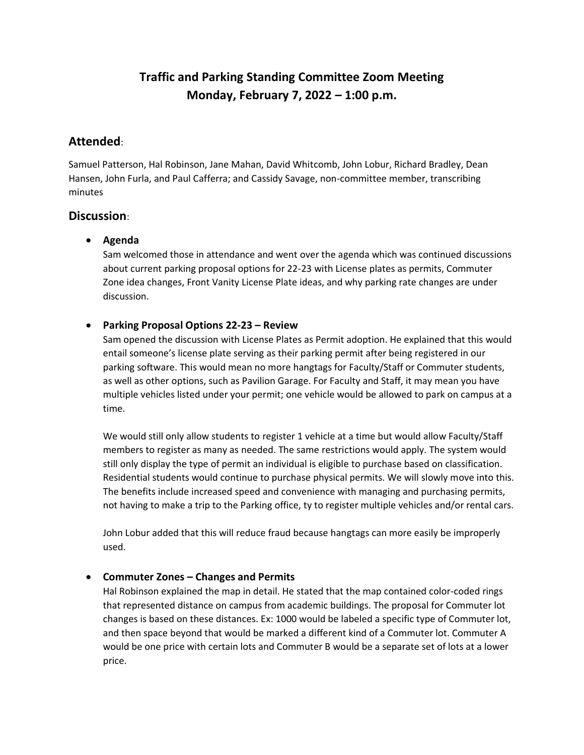# **Traffic and Parking Standing Committee Zoom Meeting Monday, February 7, 2022 – 1:00 p.m.**

## **Attended**:

Samuel Patterson, Hal Robinson, Jane Mahan, David Whitcomb, John Lobur, Richard Bradley, Dean Hansen, John Furla, and Paul Cafferra; and Cassidy Savage, non-committee member, transcribing minutes

## **Discussion**:

## • **Agenda**

Sam welcomed those in attendance and went over the agenda which was continued discussions about current parking proposal options for 22-23 with License plates as permits, Commuter Zone idea changes, Front Vanity License Plate ideas, and why parking rate changes are under discussion.

## • **Parking Proposal Options 22-23 – Review**

Sam opened the discussion with License Plates as Permit adoption. He explained that this would entail someone's license plate serving as their parking permit after being registered in our parking software. This would mean no more hangtags for Faculty/Staff or Commuter students, as well as other options, such as Pavilion Garage. For Faculty and Staff, it may mean you have multiple vehicles listed under your permit; one vehicle would be allowed to park on campus at a time.

We would still only allow students to register 1 vehicle at a time but would allow Faculty/Staff members to register as many as needed. The same restrictions would apply. The system would still only display the type of permit an individual is eligible to purchase based on classification. Residential students would continue to purchase physical permits. We will slowly move into this. The benefits include increased speed and convenience with managing and purchasing permits, not having to make a trip to the Parking office, ty to register multiple vehicles and/or rental cars.

John Lobur added that this will reduce fraud because hangtags can more easily be improperly used.

#### • **Commuter Zones – Changes and Permits**

Hal Robinson explained the map in detail. He stated that the map contained color-coded rings that represented distance on campus from academic buildings. The proposal for Commuter lot changes is based on these distances. Ex: 1000 would be labeled a specific type of Commuter lot, and then space beyond that would be marked a different kind of a Commuter lot. Commuter A would be one price with certain lots and Commuter B would be a separate set of lots at a lower price.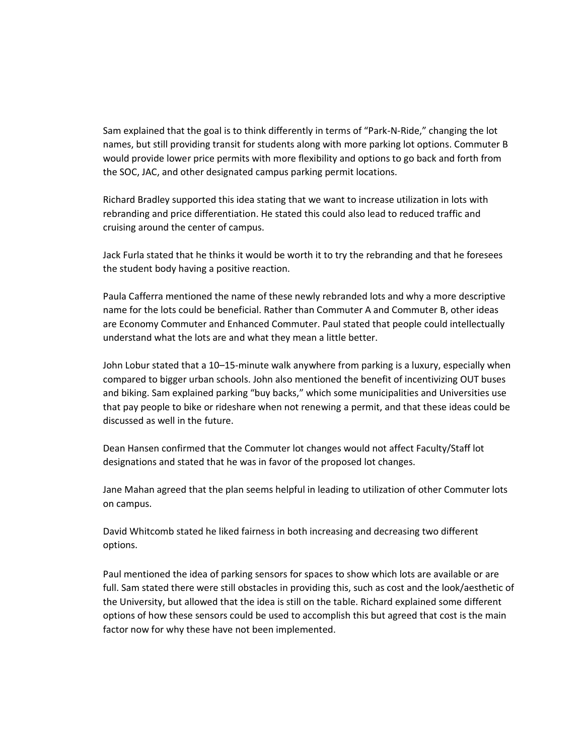Sam explained that the goal is to think differently in terms of "Park-N-Ride," changing the lot names, but still providing transit for students along with more parking lot options. Commuter B would provide lower price permits with more flexibility and options to go back and forth from the SOC, JAC, and other designated campus parking permit locations.

Richard Bradley supported this idea stating that we want to increase utilization in lots with rebranding and price differentiation. He stated this could also lead to reduced traffic and cruising around the center of campus.

Jack Furla stated that he thinks it would be worth it to try the rebranding and that he foresees the student body having a positive reaction.

Paula Cafferra mentioned the name of these newly rebranded lots and why a more descriptive name for the lots could be beneficial. Rather than Commuter A and Commuter B, other ideas are Economy Commuter and Enhanced Commuter. Paul stated that people could intellectually understand what the lots are and what they mean a little better.

John Lobur stated that a 10–15-minute walk anywhere from parking is a luxury, especially when compared to bigger urban schools. John also mentioned the benefit of incentivizing OUT buses and biking. Sam explained parking "buy backs," which some municipalities and Universities use that pay people to bike or rideshare when not renewing a permit, and that these ideas could be discussed as well in the future.

Dean Hansen confirmed that the Commuter lot changes would not affect Faculty/Staff lot designations and stated that he was in favor of the proposed lot changes.

Jane Mahan agreed that the plan seems helpful in leading to utilization of other Commuter lots on campus.

David Whitcomb stated he liked fairness in both increasing and decreasing two different options.

Paul mentioned the idea of parking sensors for spaces to show which lots are available or are full. Sam stated there were still obstacles in providing this, such as cost and the look/aesthetic of the University, but allowed that the idea is still on the table. Richard explained some different options of how these sensors could be used to accomplish this but agreed that cost is the main factor now for why these have not been implemented.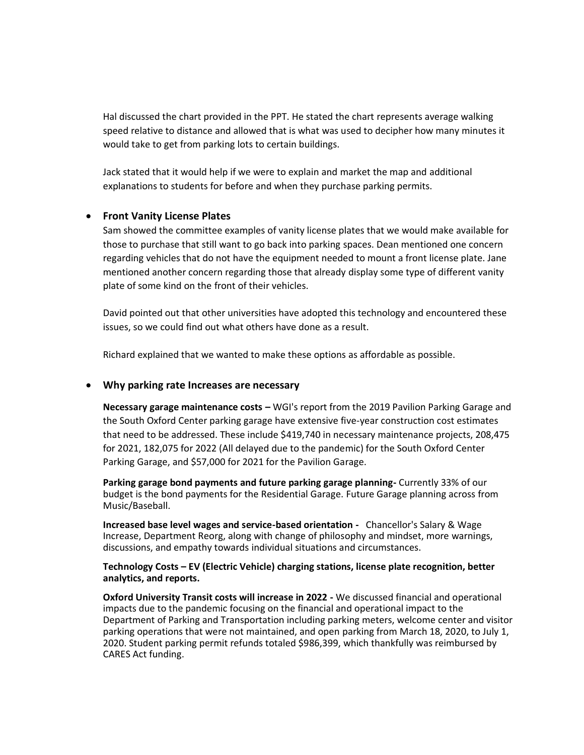Hal discussed the chart provided in the PPT. He stated the chart represents average walking speed relative to distance and allowed that is what was used to decipher how many minutes it would take to get from parking lots to certain buildings.

Jack stated that it would help if we were to explain and market the map and additional explanations to students for before and when they purchase parking permits.

#### • **Front Vanity License Plates**

Sam showed the committee examples of vanity license plates that we would make available for those to purchase that still want to go back into parking spaces. Dean mentioned one concern regarding vehicles that do not have the equipment needed to mount a front license plate. Jane mentioned another concern regarding those that already display some type of different vanity plate of some kind on the front of their vehicles.

David pointed out that other universities have adopted this technology and encountered these issues, so we could find out what others have done as a result.

Richard explained that we wanted to make these options as affordable as possible.

#### • **Why parking rate Increases are necessary**

**Necessary garage maintenance costs –** WGI's report from the 2019 Pavilion Parking Garage and the South Oxford Center parking garage have extensive five-year construction cost estimates that need to be addressed. These include \$419,740 in necessary maintenance projects, 208,475 for 2021, 182,075 for 2022 (All delayed due to the pandemic) for the South Oxford Center Parking Garage, and \$57,000 for 2021 for the Pavilion Garage.

**Parking garage bond payments and future parking garage planning-** Currently 33% of our budget is the bond payments for the Residential Garage. Future Garage planning across from Music/Baseball.

**Increased base level wages and service-based orientation -** Chancellor's Salary & Wage Increase, Department Reorg, along with change of philosophy and mindset, more warnings, discussions, and empathy towards individual situations and circumstances.

#### **Technology Costs – EV (Electric Vehicle) charging stations, license plate recognition, better analytics, and reports.**

**Oxford University Transit costs will increase in 2022 -** We discussed financial and operational impacts due to the pandemic focusing on the financial and operational impact to the Department of Parking and Transportation including parking meters, welcome center and visitor parking operations that were not maintained, and open parking from March 18, 2020, to July 1, 2020. Student parking permit refunds totaled \$986,399, which thankfully was reimbursed by CARES Act funding.